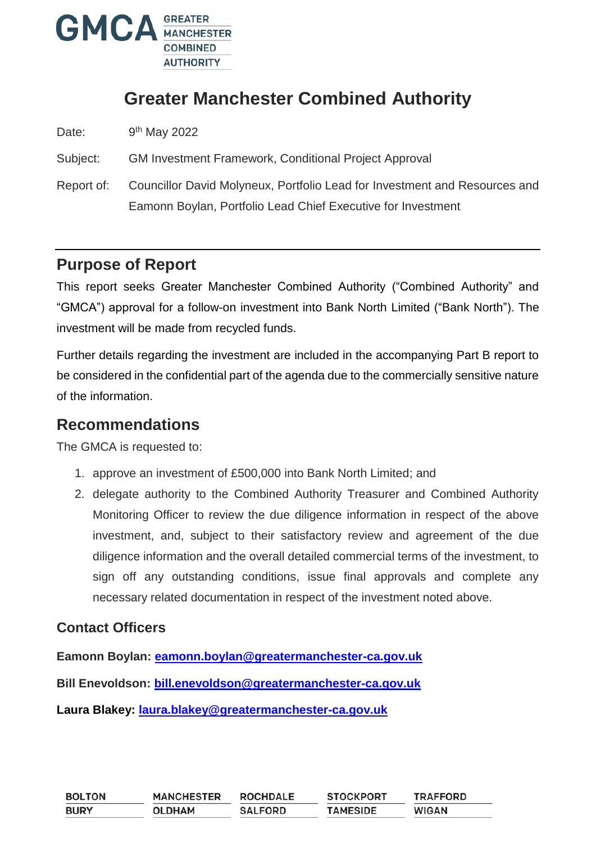

# **Greater Manchester Combined Authority**

Date: 9<sup>th</sup> May 2022

Subject: GM Investment Framework, Conditional Project Approval

Report of: Councillor David Molyneux, Portfolio Lead for Investment and Resources and Eamonn Boylan, Portfolio Lead Chief Executive for Investment

### **Purpose of Report**

This report seeks Greater Manchester Combined Authority ("Combined Authority" and "GMCA") approval for a follow-on investment into Bank North Limited ("Bank North"). The investment will be made from recycled funds.

Further details regarding the investment are included in the accompanying Part B report to be considered in the confidential part of the agenda due to the commercially sensitive nature of the information.

### **Recommendations**

The GMCA is requested to:

- 1. approve an investment of £500,000 into Bank North Limited; and
- 2. delegate authority to the Combined Authority Treasurer and Combined Authority Monitoring Officer to review the due diligence information in respect of the above investment, and, subject to their satisfactory review and agreement of the due diligence information and the overall detailed commercial terms of the investment, to sign off any outstanding conditions, issue final approvals and complete any necessary related documentation in respect of the investment noted above.

#### **Contact Officers**

**Eamonn Boylan: [eamonn.boylan@greatermanchester-ca.gov.uk](mailto:eamonn.boylan@greatermanchester-ca.gov.uk)**

**Bill Enevoldson: [bill.enevoldson@greatermanchester-ca.gov.uk](mailto:bill.enevoldson@greatermanchester-ca.gov.uk)**

**Laura Blakey: laura.blakey@greatermanchester-ca.gov.uk**

| <b>BOLTON</b> | <b>MANCHESTER</b> | <b>ROCHDALE</b> | <b>STOCKPORT</b> | <b>TRAFFORD</b> |
|---------------|-------------------|-----------------|------------------|-----------------|
| <b>BURY</b>   | <b>OLDHAM</b>     | <b>SALFORD</b>  | <b>TAMESIDE</b>  | <b>WIGAN</b>    |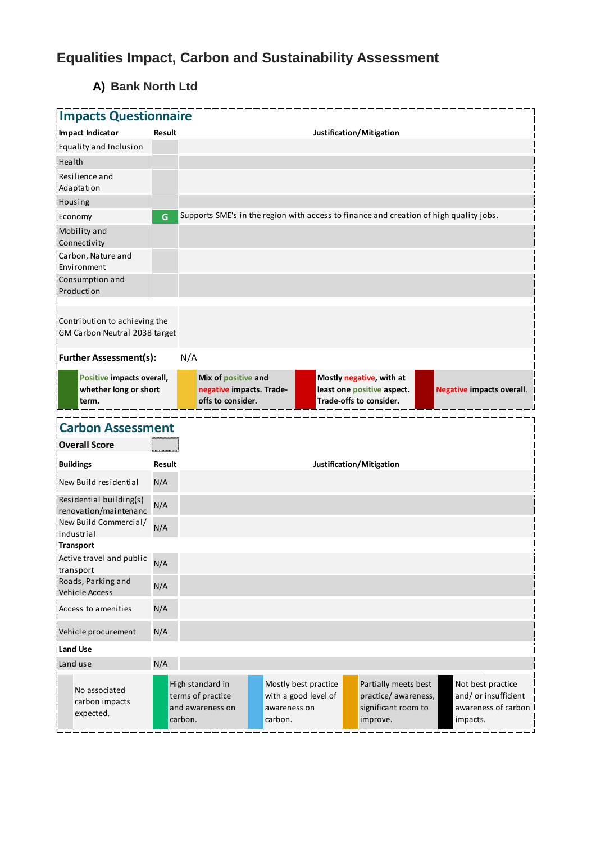# **Equalities Impact, Carbon and Sustainability Assessment**

# **A) Bank North Ltd**

| <b>Impacts Questionnaire</b>                                    |               |                   |                                                 |                                                                                        |                                                                                   |                                  |
|-----------------------------------------------------------------|---------------|-------------------|-------------------------------------------------|----------------------------------------------------------------------------------------|-----------------------------------------------------------------------------------|----------------------------------|
| Impact Indicator                                                | <b>Result</b> |                   |                                                 |                                                                                        | Justification/Mitigation                                                          |                                  |
| Equality and Inclusion                                          |               |                   |                                                 |                                                                                        |                                                                                   |                                  |
| Health                                                          |               |                   |                                                 |                                                                                        |                                                                                   |                                  |
| Resilience and<br>Adaptation                                    |               |                   |                                                 |                                                                                        |                                                                                   |                                  |
| <b>Housing</b>                                                  |               |                   |                                                 |                                                                                        |                                                                                   |                                  |
| Economy                                                         | G             |                   |                                                 | Supports SME's in the region with access to finance and creation of high quality jobs. |                                                                                   |                                  |
| Mobility and<br>Connectivity                                    |               |                   |                                                 |                                                                                        |                                                                                   |                                  |
| Carbon, Nature and<br>Environment                               |               |                   |                                                 |                                                                                        |                                                                                   |                                  |
| Consumption and<br>Production                                   |               |                   |                                                 |                                                                                        |                                                                                   |                                  |
| Contribution to achieving the<br>IGM Carbon Neutral 2038 target |               |                   |                                                 |                                                                                        |                                                                                   |                                  |
| <b>Further Assessment(s):</b>                                   |               | N/A               |                                                 |                                                                                        |                                                                                   |                                  |
| Positive impacts overall,<br>whether long or short<br>term.     |               | offs to consider. | Mix of positive and<br>negative impacts. Trade- |                                                                                        | Mostly negative, with at<br>least one positive aspect.<br>Trade-offs to consider. | <b>Negative impacts overall.</b> |
| <b>Carbon Assessment</b>                                        |               |                   |                                                 |                                                                                        |                                                                                   |                                  |
|                                                                 |               |                   |                                                 |                                                                                        |                                                                                   |                                  |
| <b>Overall Score</b>                                            |               |                   |                                                 |                                                                                        |                                                                                   |                                  |
| <b>Buildings</b>                                                | Result        |                   |                                                 |                                                                                        | Justification/Mitigation                                                          |                                  |
| New Build residential                                           | N/A           |                   |                                                 |                                                                                        |                                                                                   |                                  |
| Residential building(s)<br>renovation/maintenanc                | N/A           |                   |                                                 |                                                                                        |                                                                                   |                                  |
| New Build Commercial/<br><b>Industrial</b>                      | N/A           |                   |                                                 |                                                                                        |                                                                                   |                                  |
| <b>Transport</b>                                                |               |                   |                                                 |                                                                                        |                                                                                   |                                  |
| Active travel and public<br>transport                           | N/A           |                   |                                                 |                                                                                        |                                                                                   |                                  |
| Roads, Parking and<br><b>Vehicle Access</b>                     | N/A           |                   |                                                 |                                                                                        |                                                                                   |                                  |
| Access to amenities                                             | N/A           |                   |                                                 |                                                                                        |                                                                                   |                                  |
| Vehicle procurement                                             | N/A           |                   |                                                 |                                                                                        |                                                                                   |                                  |
| <b>Land Use</b>                                                 |               |                   |                                                 |                                                                                        |                                                                                   |                                  |
| Land use                                                        | N/A           |                   |                                                 |                                                                                        |                                                                                   |                                  |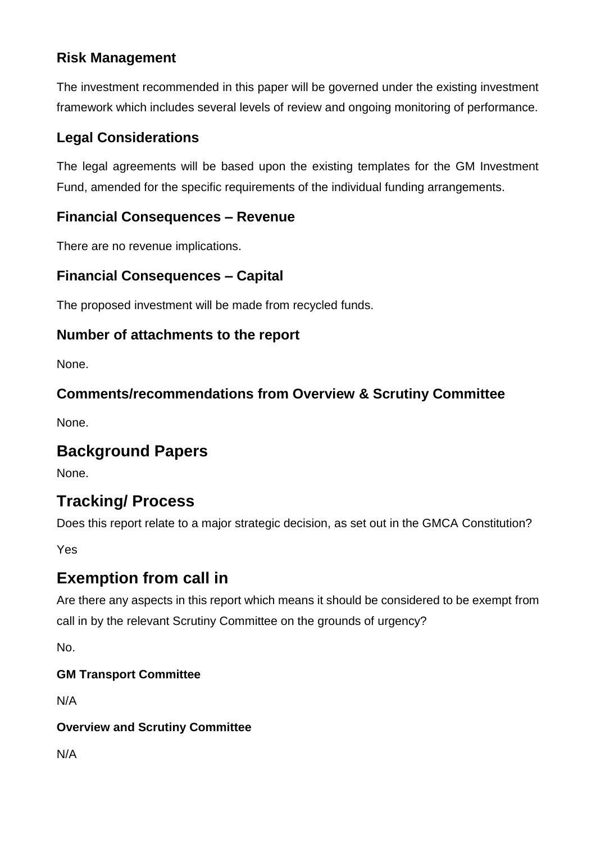### **Risk Management**

The investment recommended in this paper will be governed under the existing investment framework which includes several levels of review and ongoing monitoring of performance.

### **Legal Considerations**

The legal agreements will be based upon the existing templates for the GM Investment Fund, amended for the specific requirements of the individual funding arrangements.

#### **Financial Consequences – Revenue**

There are no revenue implications.

### **Financial Consequences – Capital**

The proposed investment will be made from recycled funds.

#### **Number of attachments to the report**

None.

#### **Comments/recommendations from Overview & Scrutiny Committee**

None.

## **Background Papers**

None.

# **Tracking/ Process**

Does this report relate to a major strategic decision, as set out in the GMCA Constitution?

Yes

## **Exemption from call in**

Are there any aspects in this report which means it should be considered to be exempt from call in by the relevant Scrutiny Committee on the grounds of urgency?

No.

#### **GM Transport Committee**

N/A

#### **Overview and Scrutiny Committee**

N/A